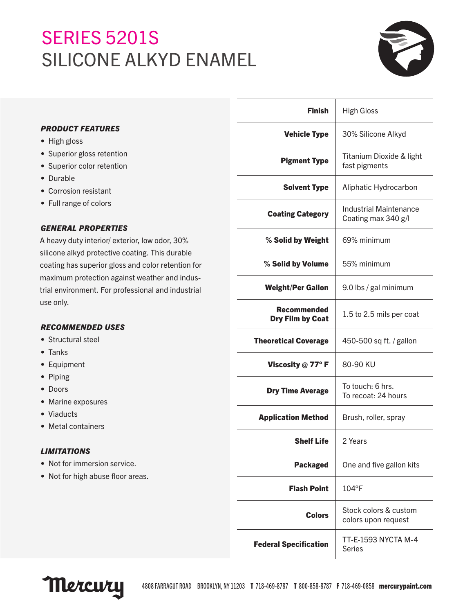# SERIES 5201S SILICONE ALKYD ENAMEL



# *PRODUCT FEATURES*

- High gloss
- Superior gloss retention
- Superior color retention
- Durable
- Corrosion resistant
- Full range of colors

# *GENERAL PROPERTIES*

A heavy duty interior/ exterior, low odor, 30% silicone alkyd protective coating. This durable coating has superior gloss and color retention for maximum protection against weather and industrial environment. For professional and industrial use only.

## *RECOMMENDED USES*

- Structural steel
- Tanks
- Equipment
- Piping
- Doors
- Marine exposures
- Viaducts
- Metal containers

# *LIMITATIONS*

- Not for immersion service.
- Not for high abuse floor areas.

| <b>Finish</b>                          | <b>High Gloss</b>                             |
|----------------------------------------|-----------------------------------------------|
| <b>Vehicle Type</b>                    | 30% Silicone Alkyd                            |
| <b>Pigment Type</b>                    | Titanium Dioxide & light<br>fast pigments     |
| <b>Solvent Type</b>                    | Aliphatic Hydrocarbon                         |
| <b>Coating Category</b>                | Industrial Maintenance<br>Coating max 340 g/l |
| % Solid by Weight                      | 69% minimum                                   |
| % Solid by Volume                      | 55% minimum                                   |
| <b>Weight/Per Gallon</b>               | 9.0 lbs / gal minimum                         |
| Recommended<br><b>Dry Film by Coat</b> | 1.5 to 2.5 mils per coat                      |
| <b>Theoretical Coverage</b>            | 450-500 sq ft. / gallon                       |
| Viscosity $@$ 77° F                    | 80-90 KU                                      |
| <b>Dry Time Average</b>                | To touch: 6 hrs.<br>To recoat: 24 hours       |
| <b>Application Method</b>              | Brush, roller, spray                          |
| Shelf Life                             | 2 Years                                       |
| <b>Packaged</b>                        | One and five gallon kits                      |
| Flash Point                            | $104^{\circ}$ F                               |
| <b>Colors</b>                          | Stock colors & custom<br>colors upon request  |
| <b>Federal Specification</b>           | TT-E-1593 NYCTA M-4<br><b>Series</b>          |